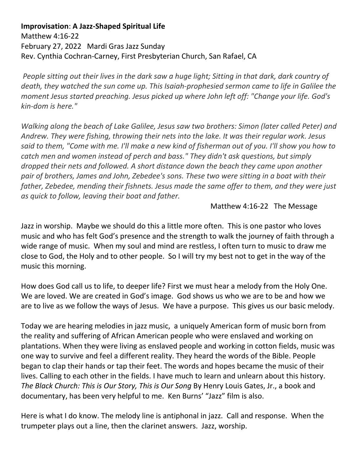## **Improvisation**: **A Jazz-Shaped Spiritual Life**

Matthew 4:16-22 February 27, 2022 Mardi Gras Jazz Sunday Rev. Cynthia Cochran-Carney, First Presbyterian Church, San Rafael, CA

*People sitting out their lives in the dark saw a huge light; Sitting in that dark, dark country of death, they watched the sun come up. This Isaiah-prophesied sermon came to life in Galilee the moment Jesus started preaching. Jesus picked up where John left off: "Change your life. God's kin-dom is here."* 

*Walking along the beach of Lake Galilee, Jesus saw two brothers: Simon (later called Peter) and Andrew. They were fishing, throwing their nets into the lake. It was their regular work. Jesus said to them, "Come with me. I'll make a new kind of fisherman out of you. I'll show you how to catch men and women instead of perch and bass." They didn't ask questions, but simply dropped their nets and followed. A short distance down the beach they came upon another pair of brothers, James and John, Zebedee's sons. These two were sitting in a boat with their father, Zebedee, mending their fishnets. Jesus made the same offer to them, and they were just as quick to follow, leaving their boat and father.*

## Matthew 4:16-22 The Message

Jazz in worship. Maybe we should do this a little more often. This is one pastor who loves music and who has felt God's presence and the strength to walk the journey of faith through a wide range of music. When my soul and mind are restless, I often turn to music to draw me close to God, the Holy and to other people. So I will try my best not to get in the way of the music this morning.

How does God call us to life, to deeper life? First we must hear a melody from the Holy One. We are loved. We are created in God's image. God shows us who we are to be and how we are to live as we follow the ways of Jesus. We have a purpose. This gives us our basic melody.

Today we are hearing melodies in jazz music, a uniquely American form of music born from the reality and suffering of African American people who were enslaved and working on plantations. When they were living as enslaved people and working in cotton fields, music was one way to survive and feel a different reality. They heard the words of the Bible. People began to clap their hands or tap their feet. The words and hopes became the music of their lives. Calling to each other in the fields. I have much to learn and unlearn about this history. *The Black Church: This is Our Story, This is Our Song* By Henry Louis Gates, Jr., a book and documentary, has been very helpful to me. Ken Burns' "Jazz" film is also.

Here is what I do know. The melody line is antiphonal in jazz. Call and response. When the trumpeter plays out a line, then the clarinet answers. Jazz, worship.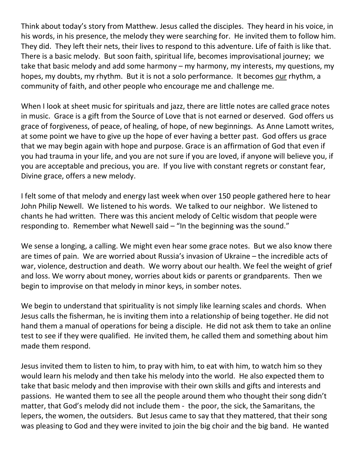Think about today's story from Matthew. Jesus called the disciples. They heard in his voice, in his words, in his presence, the melody they were searching for. He invited them to follow him. They did. They left their nets, their lives to respond to this adventure. Life of faith is like that. There is a basic melody. But soon faith, spiritual life, becomes improvisational journey; we take that basic melody and add some harmony – my harmony, my interests, my questions, my hopes, my doubts, my rhythm. But it is not a solo performance. It becomes our rhythm, a community of faith, and other people who encourage me and challenge me.

When I look at sheet music for spirituals and jazz, there are little notes are called grace notes in music. Grace is a gift from the Source of Love that is not earned or deserved. God offers us grace of forgiveness, of peace, of healing, of hope, of new beginnings. As Anne Lamott writes, at some point we have to give up the hope of ever having a better past. God offers us grace that we may begin again with hope and purpose. Grace is an affirmation of God that even if you had trauma in your life, and you are not sure if you are loved, if anyone will believe you, if you are acceptable and precious, you are. If you live with constant regrets or constant fear, Divine grace, offers a new melody.

I felt some of that melody and energy last week when over 150 people gathered here to hear John Philip Newell. We listened to his words. We talked to our neighbor. We listened to chants he had written. There was this ancient melody of Celtic wisdom that people were responding to. Remember what Newell said – "In the beginning was the sound."

We sense a longing, a calling. We might even hear some grace notes. But we also know there are times of pain. We are worried about Russia's invasion of Ukraine – the incredible acts of war, violence, destruction and death. We worry about our health. We feel the weight of grief and loss. We worry about money, worries about kids or parents or grandparents. Then we begin to improvise on that melody in minor keys, in somber notes.

We begin to understand that spirituality is not simply like learning scales and chords. When Jesus calls the fisherman, he is inviting them into a relationship of being together. He did not hand them a manual of operations for being a disciple. He did not ask them to take an online test to see if they were qualified. He invited them, he called them and something about him made them respond.

Jesus invited them to listen to him, to pray with him, to eat with him, to watch him so they would learn his melody and then take his melody into the world. He also expected them to take that basic melody and then improvise with their own skills and gifts and interests and passions. He wanted them to see all the people around them who thought their song didn't matter, that God's melody did not include them - the poor, the sick, the Samaritans, the lepers, the women, the outsiders. But Jesus came to say that they mattered, that their song was pleasing to God and they were invited to join the big choir and the big band. He wanted